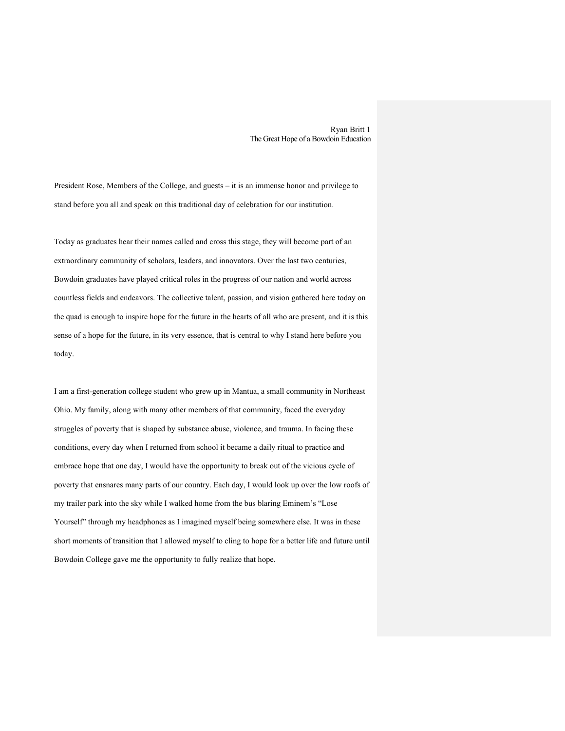Ryan Britt 1 The Great Hope of a Bowdoin Education

President Rose, Members of the College, and guests – it is an immense honor and privilege to stand before you all and speak on this traditional day of celebration for our institution.

Today as graduates hear their names called and cross this stage, they will become part of an extraordinary community of scholars, leaders, and innovators. Over the last two centuries, Bowdoin graduates have played critical roles in the progress of our nation and world across countless fields and endeavors. The collective talent, passion, and vision gathered here today on the quad is enough to inspire hope for the future in the hearts of all who are present, and it is this sense of a hope for the future, in its very essence, that is central to why I stand here before you today.

I am a first-generation college student who grew up in Mantua, a small community in Northeast Ohio. My family, along with many other members of that community, faced the everyday struggles of poverty that is shaped by substance abuse, violence, and trauma. In facing these conditions, every day when I returned from school it became a daily ritual to practice and embrace hope that one day, I would have the opportunity to break out of the vicious cycle of poverty that ensnares many parts of our country. Each day, I would look up over the low roofs of my trailer park into the sky while I walked home from the bus blaring Eminem's "Lose Yourself" through my headphones as I imagined myself being somewhere else. It was in these short moments of transition that I allowed myself to cling to hope for a better life and future until Bowdoin College gave me the opportunity to fully realize that hope.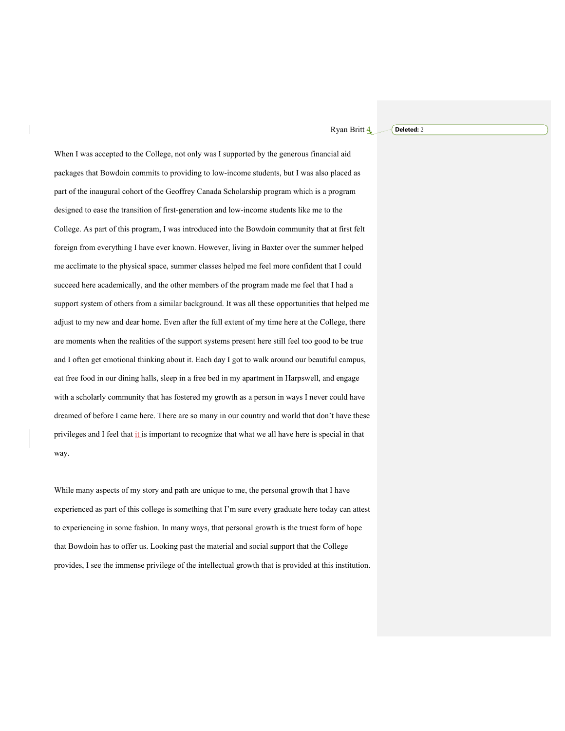Ryan Britt **4 Deleted:** 2

When I was accepted to the College, not only was I supported by the generous financial aid packages that Bowdoin commits to providing to low-income students, but I was also placed as part of the inaugural cohort of the Geoffrey Canada Scholarship program which is a program designed to ease the transition of first-generation and low-income students like me to the College. As part of this program, I was introduced into the Bowdoin community that at first felt foreign from everything I have ever known. However, living in Baxter over the summer helped me acclimate to the physical space, summer classes helped me feel more confident that I could succeed here academically, and the other members of the program made me feel that I had a support system of others from a similar background. It was all these opportunities that helped me adjust to my new and dear home. Even after the full extent of my time here at the College, there are moments when the realities of the support systems present here still feel too good to be true and I often get emotional thinking about it. Each day I got to walk around our beautiful campus, eat free food in our dining halls, sleep in a free bed in my apartment in Harpswell, and engage with a scholarly community that has fostered my growth as a person in ways I never could have dreamed of before I came here. There are so many in our country and world that don't have these privileges and I feel that it is important to recognize that what we all have here is special in that way.

While many aspects of my story and path are unique to me, the personal growth that I have experienced as part of this college is something that I'm sure every graduate here today can attest to experiencing in some fashion. In many ways, that personal growth is the truest form of hope that Bowdoin has to offer us. Looking past the material and social support that the College provides, I see the immense privilege of the intellectual growth that is provided at this institution.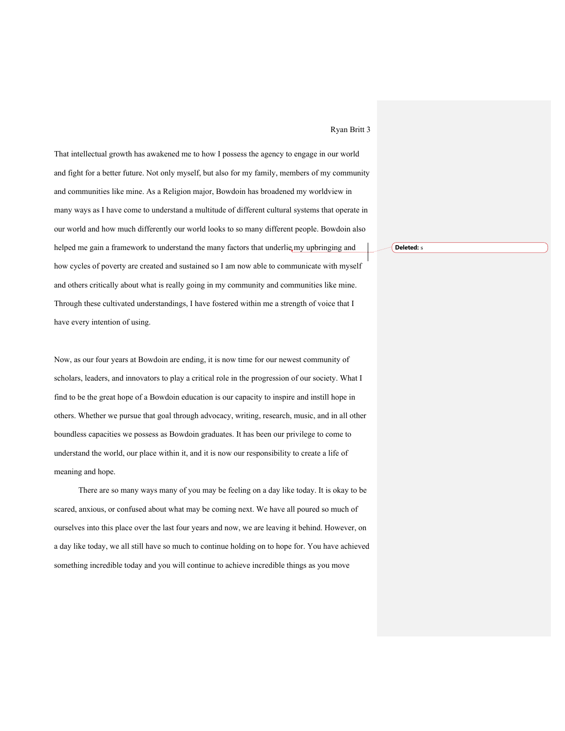## Ryan Britt 3

That intellectual growth has awakened me to how I possess the agency to engage in our world and fight for a better future. Not only myself, but also for my family, members of my community and communities like mine. As a Religion major, Bowdoin has broadened my worldview in many ways as I have come to understand a multitude of different cultural systems that operate in our world and how much differently our world looks to so many different people. Bowdoin also helped me gain a framework to understand the many factors that underlie my upbringing and how cycles of poverty are created and sustained so I am now able to communicate with myself and others critically about what is really going in my community and communities like mine. Through these cultivated understandings, I have fostered within me a strength of voice that I have every intention of using.

Now, as our four years at Bowdoin are ending, it is now time for our newest community of scholars, leaders, and innovators to play a critical role in the progression of our society. What I find to be the great hope of a Bowdoin education is our capacity to inspire and instill hope in others. Whether we pursue that goal through advocacy, writing, research, music, and in all other boundless capacities we possess as Bowdoin graduates. It has been our privilege to come to understand the world, our place within it, and it is now our responsibility to create a life of meaning and hope.

There are so many ways many of you may be feeling on a day like today. It is okay to be scared, anxious, or confused about what may be coming next. We have all poured so much of ourselves into this place over the last four years and now, we are leaving it behind. However, on a day like today, we all still have so much to continue holding on to hope for. You have achieved something incredible today and you will continue to achieve incredible things as you move

**Deleted:** s